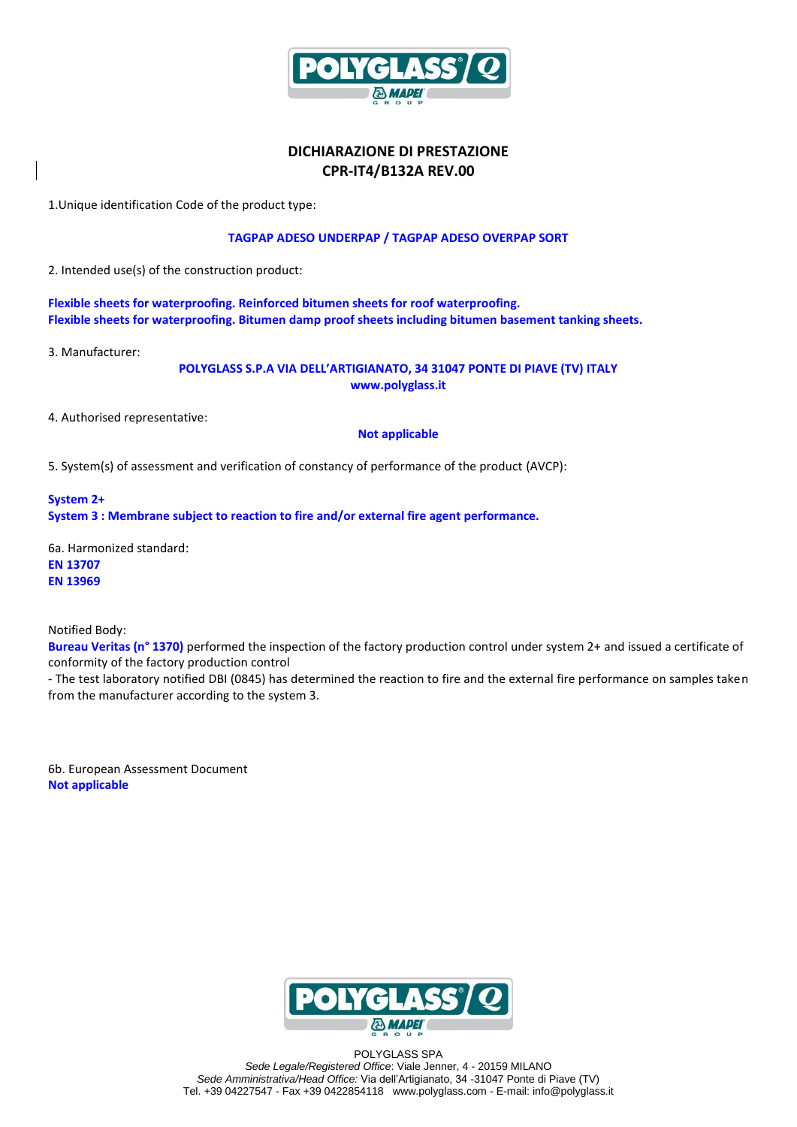

# **DICHIARAZIONE DI PRESTAZIONE CPR-IT4/B132A REV.00**

1.Unique identification Code of the product type:

## **TAGPAP ADESO UNDERPAP / TAGPAP ADESO OVERPAP SORT**

2. Intended use(s) of the construction product:

**Flexible sheets for waterproofing. Reinforced bitumen sheets for roof waterproofing. Flexible sheets for waterproofing. Bitumen damp proof sheets including bitumen basement tanking sheets.** 

3. Manufacturer:

**POLYGLASS S.P.A VIA DELL'ARTIGIANATO, 34 31047 PONTE DI PIAVE (TV) ITALY www.polyglass.it**

4. Authorised representative:

### **Not applicable**

5. System(s) of assessment and verification of constancy of performance of the product (AVCP):

**System 2+ System 3 : Membrane subject to reaction to fire and/or external fire agent performance.**

6a. Harmonized standard: **EN 13707 EN 13969**

Notified Body:

**Bureau Veritas (n° 1370)** performed the inspection of the factory production control under system 2+ and issued a certificate of conformity of the factory production control

- The test laboratory notified DBI (0845) has determined the reaction to fire and the external fire performance on samples taken from the manufacturer according to the system 3.

6b. European Assessment Document **Not applicable**



POLYGLASS SPA *Sede Legale/Registered Office*: Viale Jenner, 4 - 20159 MILANO *Sede Amministrativa/Head Office:* Via dell'Artigianato, 34 -31047 Ponte di Piave (TV) Tel. +39 04227547 - Fax +39 0422854118 www.polyglass.com - E-mail: info@polyglass.it